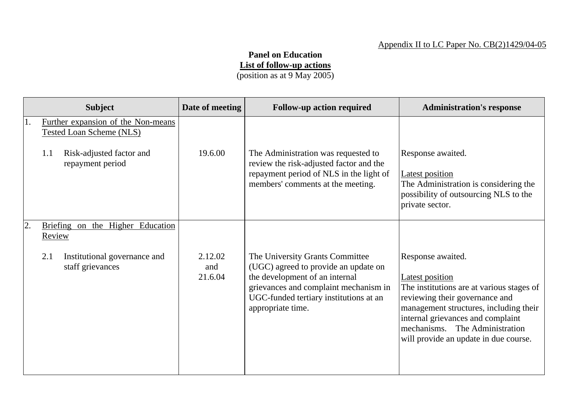## **Panel on Education List of follow-up actions**

(position as at 9 May 2005)

|    | <b>Subject</b>                                                                                                               | Date of meeting           | <b>Follow-up action required</b>                                                                                                                                                                                  | <b>Administration's response</b>                                                                                                                                                                                                                                                        |
|----|------------------------------------------------------------------------------------------------------------------------------|---------------------------|-------------------------------------------------------------------------------------------------------------------------------------------------------------------------------------------------------------------|-----------------------------------------------------------------------------------------------------------------------------------------------------------------------------------------------------------------------------------------------------------------------------------------|
| 1. | Further expansion of the Non-means<br><b>Tested Loan Scheme (NLS)</b><br>Risk-adjusted factor and<br>1.1<br>repayment period | 19.6.00                   | The Administration was requested to<br>review the risk-adjusted factor and the<br>repayment period of NLS in the light of<br>members' comments at the meeting.                                                    | Response awaited.<br>Latest position<br>The Administration is considering the<br>possibility of outsourcing NLS to the<br>private sector.                                                                                                                                               |
| 2. | Briefing on the Higher Education<br>Review<br>2.1<br>Institutional governance and<br>staff grievances                        | 2.12.02<br>and<br>21.6.04 | The University Grants Committee<br>(UGC) agreed to provide an update on<br>the development of an internal<br>grievances and complaint mechanism in<br>UGC-funded tertiary institutions at an<br>appropriate time. | Response awaited.<br><b>Latest position</b><br>The institutions are at various stages of<br>reviewing their governance and<br>management structures, including their<br>internal grievances and complaint<br>The Administration<br>mechanisms.<br>will provide an update in due course. |
|    |                                                                                                                              |                           |                                                                                                                                                                                                                   |                                                                                                                                                                                                                                                                                         |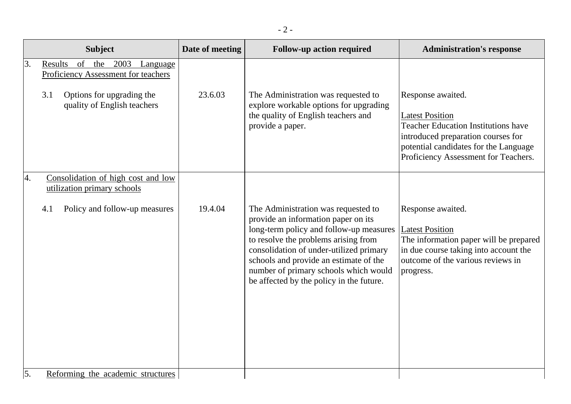|            | <b>Subject</b>                                                                                                                            | Date of meeting | <b>Follow-up action required</b>                                                                                                                                                                                                                                                                                                        | <b>Administration's response</b>                                                                                                                                                                                 |
|------------|-------------------------------------------------------------------------------------------------------------------------------------------|-----------------|-----------------------------------------------------------------------------------------------------------------------------------------------------------------------------------------------------------------------------------------------------------------------------------------------------------------------------------------|------------------------------------------------------------------------------------------------------------------------------------------------------------------------------------------------------------------|
| 3.         | Results of the 2003<br>Language<br>Proficiency Assessment for teachers<br>Options for upgrading the<br>3.1<br>quality of English teachers | 23.6.03         | The Administration was requested to<br>explore workable options for upgrading<br>the quality of English teachers and<br>provide a paper.                                                                                                                                                                                                | Response awaited.<br><b>Latest Position</b><br><b>Teacher Education Institutions have</b><br>introduced preparation courses for<br>potential candidates for the Language<br>Proficiency Assessment for Teachers. |
| 4.         | Consolidation of high cost and low<br>utilization primary schools                                                                         |                 |                                                                                                                                                                                                                                                                                                                                         |                                                                                                                                                                                                                  |
|            | Policy and follow-up measures<br>4.1                                                                                                      | 19.4.04         | The Administration was requested to<br>provide an information paper on its<br>long-term policy and follow-up measures<br>to resolve the problems arising from<br>consolidation of under-utilized primary<br>schools and provide an estimate of the<br>number of primary schools which would<br>be affected by the policy in the future. | Response awaited.<br><b>Latest Position</b><br>The information paper will be prepared<br>in due course taking into account the<br>outcome of the various reviews in<br>progress.                                 |
| $\vert$ 5. | Reforming the academic structures                                                                                                         |                 |                                                                                                                                                                                                                                                                                                                                         |                                                                                                                                                                                                                  |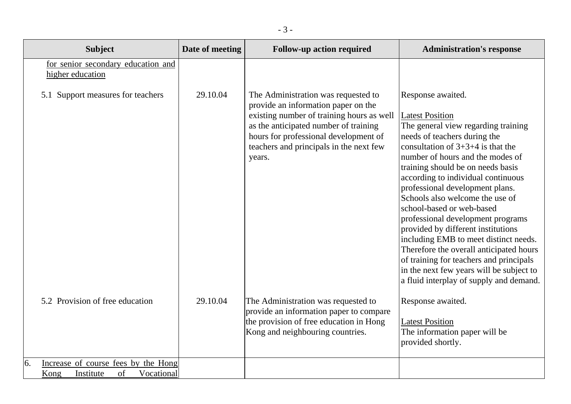| <b>Subject</b>                                                                     | Date of meeting | <b>Follow-up action required</b>                                                                                                                                                                                                                               | <b>Administration's response</b>                                                                                                                                                                                                                                                                                                                                                                                                                                                                                                                                                                                                                                             |
|------------------------------------------------------------------------------------|-----------------|----------------------------------------------------------------------------------------------------------------------------------------------------------------------------------------------------------------------------------------------------------------|------------------------------------------------------------------------------------------------------------------------------------------------------------------------------------------------------------------------------------------------------------------------------------------------------------------------------------------------------------------------------------------------------------------------------------------------------------------------------------------------------------------------------------------------------------------------------------------------------------------------------------------------------------------------------|
| for senior secondary education and<br>higher education                             |                 |                                                                                                                                                                                                                                                                |                                                                                                                                                                                                                                                                                                                                                                                                                                                                                                                                                                                                                                                                              |
| 5.1 Support measures for teachers                                                  | 29.10.04        | The Administration was requested to<br>provide an information paper on the<br>existing number of training hours as well<br>as the anticipated number of training<br>hours for professional development of<br>teachers and principals in the next few<br>years. | Response awaited.<br><b>Latest Position</b><br>The general view regarding training<br>needs of teachers during the<br>consultation of $3+3+4$ is that the<br>number of hours and the modes of<br>training should be on needs basis<br>according to individual continuous<br>professional development plans.<br>Schools also welcome the use of<br>school-based or web-based<br>professional development programs<br>provided by different institutions<br>including EMB to meet distinct needs.<br>Therefore the overall anticipated hours<br>of training for teachers and principals<br>in the next few years will be subject to<br>a fluid interplay of supply and demand. |
| 5.2 Provision of free education                                                    | 29.10.04        | The Administration was requested to<br>provide an information paper to compare<br>the provision of free education in Hong<br>Kong and neighbouring countries.                                                                                                  | Response awaited.<br><b>Latest Position</b><br>The information paper will be<br>provided shortly.                                                                                                                                                                                                                                                                                                                                                                                                                                                                                                                                                                            |
| 6.<br>Increase of course fees by the Hong<br>Kong<br>of<br>Vocational<br>Institute |                 |                                                                                                                                                                                                                                                                |                                                                                                                                                                                                                                                                                                                                                                                                                                                                                                                                                                                                                                                                              |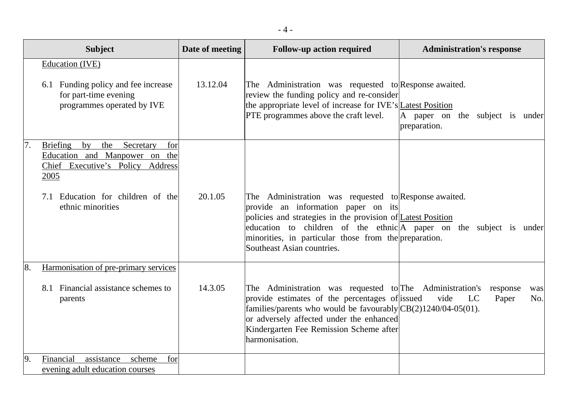|    | <b>Subject</b>                                                                                                                                                                                            | Date of meeting | <b>Follow-up action required</b>                                                                                                                                                                                                                                                                                                 | <b>Administration's response</b>                |
|----|-----------------------------------------------------------------------------------------------------------------------------------------------------------------------------------------------------------|-----------------|----------------------------------------------------------------------------------------------------------------------------------------------------------------------------------------------------------------------------------------------------------------------------------------------------------------------------------|-------------------------------------------------|
|    | Education (IVE)<br>6.1 Funding policy and fee increase<br>for part-time evening<br>programmes operated by IVE                                                                                             | 13.12.04        | The Administration was requested to Response awaited.<br>review the funding policy and re-consider<br>the appropriate level of increase for IVE's Latest Position<br><b>PTE</b> programmes above the craft level.                                                                                                                | A paper on the subject is under<br>preparation. |
| 7. | <b>Briefing</b><br>the Secretary<br>$\mathbf{b} \mathbf{v}$<br>for<br>Education and Manpower on the<br>Chief Executive's Policy Address<br>2005<br>7.1 Education for children of the<br>ethnic minorities | 20.1.05         | The Administration was requested to Response awaited.<br>provide an information paper on its<br>policies and strategies in the provision of <i>Latest Position</i><br>education to children of the ethnic A paper on the subject is under<br>minorities, in particular those from the preparation.<br>Southeast Asian countries. |                                                 |
| 8. | Harmonisation of pre-primary services<br>8.1 Financial assistance schemes to<br>parents                                                                                                                   | 14.3.05         | The Administration was requested to The Administration's<br>provide estimates of the percentages of issued<br>families/parents who would be favourably $CB(2)1240/04-05(01)$ .<br>or adversely affected under the enhanced<br>Kindergarten Fee Remission Scheme after<br>harmonisation.                                          | response<br>was<br>vide<br>LC<br>Paper<br>No.   |
| 9. | Financial<br>assistance<br>scheme<br>for<br>evening adult education courses                                                                                                                               |                 |                                                                                                                                                                                                                                                                                                                                  |                                                 |